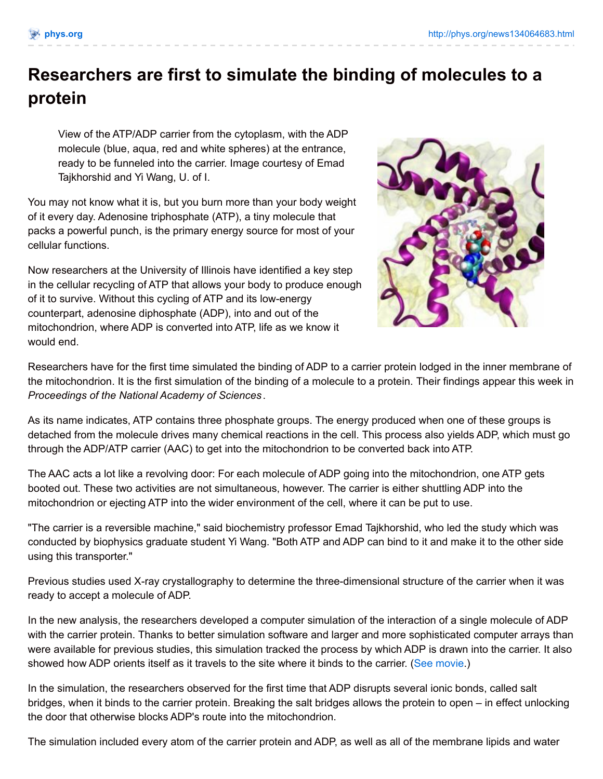## **Researchers are first to simulate the binding of molecules to a protein**

View of the ATP/ADP carrier from the cytoplasm, with the ADP molecule (blue, aqua, red and white spheres) at the entrance, ready to be funneled into the carrier. Image courtesy of Emad Tajkhorshid and Yi Wang, U. of I.

You may not know what it is, but you burn more than your body weight of it every day. Adenosine triphosphate (ATP), a tiny molecule that packs a powerful punch, is the primary energy source for most of your cellular functions.

Now researchers at the University of Illinois have identified a key step in the cellular recycling of ATP that allows your body to produce enough of it to survive. Without this cycling of ATP and its low-energy counterpart, adenosine diphosphate (ADP), into and out of the mitochondrion, where ADP is converted into ATP, life as we know it would end.



Researchers have for the first time simulated the binding of ADP to a carrier protein lodged in the inner membrane of the mitochondrion. It is the first simulation of the binding of a molecule to a protein. Their findings appear this week in *Proceedings of the National Academy of Sciences* .

As its name indicates, ATP contains three phosphate groups. The energy produced when one of these groups is detached from the molecule drives many chemical reactions in the cell. This process also yields ADP, which must go through the ADP/ATP carrier (AAC) to get into the mitochondrion to be converted back into ATP.

The AAC acts a lot like a revolving door: For each molecule of ADP going into the mitochondrion, one ATP gets booted out. These two activities are not simultaneous, however. The carrier is either shuttling ADP into the mitochondrion or ejecting ATP into the wider environment of the cell, where it can be put to use.

"The carrier is a reversible machine," said biochemistry professor Emad Tajkhorshid, who led the study which was conducted by biophysics graduate student Yi Wang. "Both ATP and ADP can bind to it and make it to the other side using this transporter."

Previous studies used X-ray crystallography to determine the three-dimensional structure of the carrier when it was ready to accept a molecule of ADP.

In the new analysis, the researchers developed a computer simulation of the interaction of a single molecule of ADP with the carrier protein. Thanks to better simulation software and larger and more sophisticated computer arrays than were available for previous studies, this simulation tracked the process by which ADP is drawn into the carrier. It also showed how ADP orients itself as it travels to the site where it binds to the carrier. (See [movie](http://www.life.uiuc.edu/emad/AAC/adp-binding.html).)

In the simulation, the researchers observed for the first time that ADP disrupts several ionic bonds, called salt bridges, when it binds to the carrier protein. Breaking the salt bridges allows the protein to open – in effect unlocking the door that otherwise blocks ADP's route into the mitochondrion.

The simulation included every atom of the carrier protein and ADP, as well as all of the membrane lipids and water